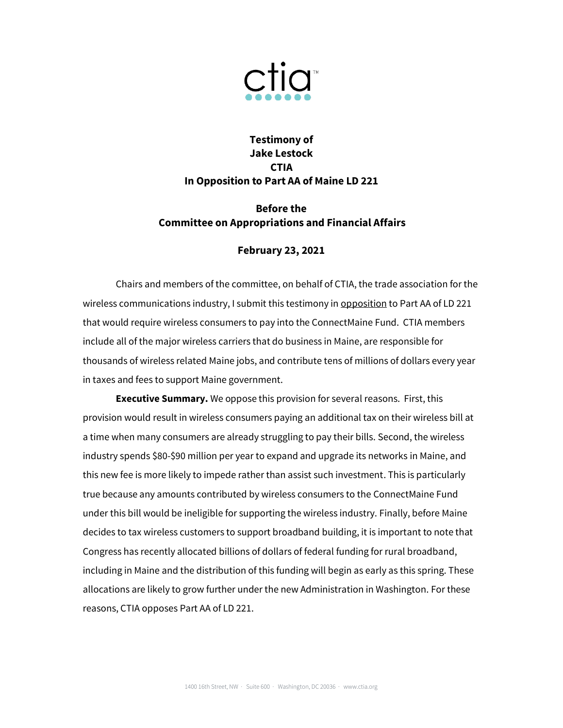

## **Testimony of Jake Lestock CTIA In Opposition to Part AA of Maine LD 221**

## **Before the Committee on Appropriations and Financial Affairs**

## **February 23, 2021**

Chairs and members of the committee, on behalf of CTIA, the trade association for the wireless communications industry, I submit this testimony in **opposition** to Part AA of LD 221 that would require wireless consumers to pay into the ConnectMaine Fund. CTIA members include all of the major wireless carriers that do business in Maine, are responsible for thousands of wireless related Maine jobs, and contribute tens of millions of dollars every year in taxes and fees to support Maine government.

**Executive Summary.** We oppose this provision for several reasons. First, this provision would result in wireless consumers paying an additional tax on their wireless bill at a time when many consumers are already struggling to pay their bills. Second, the wireless industry spends \$80-\$90 million per year to expand and upgrade its networks in Maine, and this new fee is more likely to impede rather than assist such investment. This is particularly true because any amounts contributed by wireless consumers to the ConnectMaine Fund under this bill would be ineligible for supporting the wireless industry. Finally, before Maine decides to tax wireless customers to support broadband building, it is important to note that Congress has recently allocated billions of dollars of federal funding for rural broadband, including in Maine and the distribution of this funding will begin as early as this spring. These allocations are likely to grow further under the new Administration in Washington. For these reasons, CTIA opposes Part AA of LD 221.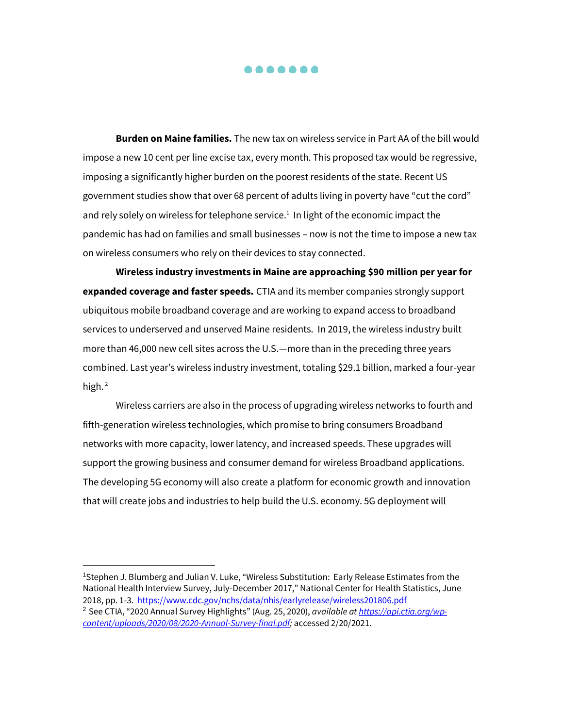. . . . . . .

**Burden on Maine families.** The new tax on wireless service in Part AA of the bill would impose a new 10 cent per line excise tax, every month. This proposed tax would be regressive, imposing a significantly higher burden on the poorest residents of the state. Recent US government studies show that over 68 percent of adults living in poverty have "cut the cord" and rely solely on wireless for telephone service.<sup>1</sup> In light of the economic impact the pandemic has had on families and small businesses – now is not the time to impose a new tax on wireless consumers who rely on their devices to stay connected.

**Wireless industry investments in Maine are approaching \$90 million per year for expanded coverage and faster speeds.** CTIA and its member companies strongly support ubiquitous mobile broadband coverage and are working to expand access to broadband services to underserved and unserved Maine residents. In 2019, the wireless industry built more than 46,000 new cell sites across the U.S.—more than in the preceding three years combined. Last year's wireless industry investment, totaling \$29.1 billion, marked a four-year high.<sup>2</sup>

Wireless carriers are also in the process of upgrading wireless networks to fourth and fifth-generation wireless technologies, which promise to bring consumers Broadband networks with more capacity, lower latency, and increased speeds. These upgrades will support the growing business and consumer demand for wireless Broadband applications. The developing 5G economy will also create a platform for economic growth and innovation that will create jobs and industries to help build the U.S. economy. 5G deployment will

<sup>1</sup>Stephen J. Blumberg and Julian V. Luke, "Wireless Substitution: Early Release Estimates from the National Health Interview Survey, July-December 2017," National Center for Health Statistics, June 2018, pp. 1-3.<https://www.cdc.gov/nchs/data/nhis/earlyrelease/wireless201806.pdf>

<sup>2</sup> See CTIA, "2020 Annual Survey Highlights" (Aug. 25, 2020), *available a[t https://api.ctia.org/wp](https://api.ctia.org/wp-content/uploads/2020/08/2020-Annual-Survey-final.pdf)[content/uploads/2020/08/2020-Annual-Survey-final.pdf;](https://api.ctia.org/wp-content/uploads/2020/08/2020-Annual-Survey-final.pdf)* accessed 2/20/2021.

 $\overline{a}$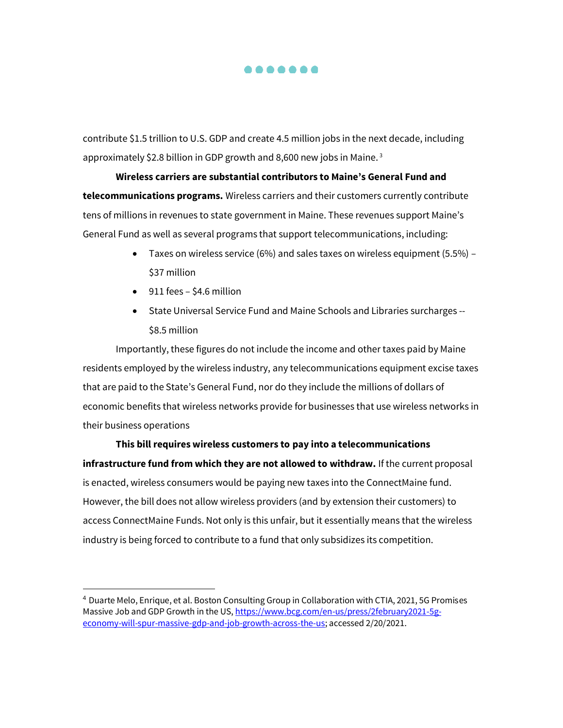$\bullet\bullet\bullet\bullet\bullet\bullet\bullet$ 

contribute \$1.5 trillion to U.S. GDP and create 4.5 million jobs in the next decade, including approximately \$2.8 billion in GDP growth and 8,600 new jobs in Maine. <sup>3</sup>

**Wireless carriers are substantial contributors to Maine's General Fund and telecommunications programs.** Wireless carriers and their customers currently contribute tens of millions in revenues to state government in Maine. These revenues support Maine's General Fund as well as several programs that support telecommunications, including:

- Taxes on wireless service (6%) and sales taxes on wireless equipment (5.5%) \$37 million
- $\bullet$  911 fees \$4.6 million

 $\overline{a}$ 

 State Universal Service Fund and Maine Schools and Libraries surcharges -- \$8.5 million

Importantly, these figures do not include the income and other taxes paid by Maine residents employed by the wireless industry, any telecommunications equipment excise taxes that are paid to the State's General Fund, nor do they include the millions of dollars of economic benefits that wireless networks provide for businesses that use wireless networks in their business operations

## **This bill requires wireless customers to pay into a telecommunications infrastructure fund from which they are not allowed to withdraw.** If the current proposal is enacted, wireless consumers would be paying new taxes into the ConnectMaine fund. However, the bill does not allow wireless providers (and by extension their customers) to access ConnectMaine Funds. Not only is this unfair, but it essentially means that the wireless industry is being forced to contribute to a fund that only subsidizes its competition.

<sup>4</sup> Duarte Melo, Enrique, et al. Boston Consulting Group in Collaboration with CTIA, 2021, 5G Promises Massive Job and GDP Growth in the US, [https://www.bcg.com/en-us/press/2february2021-5g](https://www.bcg.com/en-us/press/2february2021-5g-economy-will-spur-massive-gdp-and-job-growth-across-the-us)[economy-will-spur-massive-gdp-and-job-growth-across-the-us;](https://www.bcg.com/en-us/press/2february2021-5g-economy-will-spur-massive-gdp-and-job-growth-across-the-us) accessed 2/20/2021.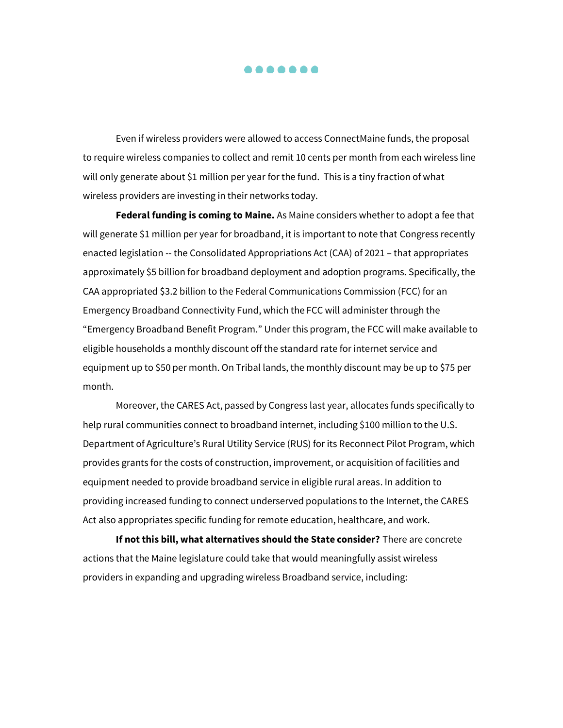. . . . . . .

Even if wireless providers were allowed to access ConnectMaine funds, the proposal to require wireless companies to collect and remit 10 cents per month from each wireless line will only generate about \$1 million per year for the fund. This is a tiny fraction of what wireless providers are investing in their networks today.

**Federal funding is coming to Maine.** As Maine considers whether to adopt a fee that will generate \$1 million per year for broadband, it is important to note that Congress recently enacted legislation -- the Consolidated Appropriations Act (CAA) of 2021 – that appropriates approximately \$5 billion for broadband deployment and adoption programs. Specifically, the CAA appropriated \$3.2 billion to the Federal Communications Commission (FCC) for an Emergency Broadband Connectivity Fund, which the FCC will administer through the "Emergency Broadband Benefit Program." Under this program, the FCC will make available to eligible households a monthly discount off the standard rate for internet service and equipment up to \$50 per month. On Tribal lands, the monthly discount may be up to \$75 per month.

Moreover, the CARES Act, passed by Congress last year, allocates funds specifically to help rural communities connect to broadband internet, including \$100 million to the U.S. Department of Agriculture's Rural Utility Service (RUS) for its Reconnect Pilot Program, which provides grants for the costs of construction, improvement, or acquisition of facilities and equipment needed to provide broadband service in eligible rural areas. In addition to providing increased funding to connect underserved populations to the Internet, the CARES Act also appropriates specific funding for remote education, healthcare, and work.

**If not this bill, what alternatives should the State consider?** There are concrete actions that the Maine legislature could take that would meaningfully assist wireless providers in expanding and upgrading wireless Broadband service, including: